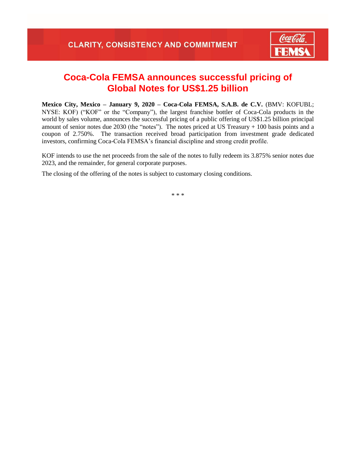

## **Coca-Cola FEMSA announces successful pricing of Global Notes for US\$1.25 billion**

**Mexico City, Mexico – January 9, 2020 – Coca-Cola FEMSA, S.A.B. de C.V.** (BMV: KOFUBL; NYSE: KOF) ("KOF" or the "Company"), the largest franchise bottler of Coca-Cola products in the world by sales volume, announces the successful pricing of a public offering of US\$1.25 billion principal amount of senior notes due 2030 (the "notes"). The notes priced at US Treasury + 100 basis points and a coupon of 2.750%. The transaction received broad participation from investment grade dedicated investors, confirming Coca-Cola FEMSA's financial discipline and strong credit profile.

KOF intends to use the net proceeds from the sale of the notes to fully redeem its 3.875% senior notes due 2023, and the remainder, for general corporate purposes.

The closing of the offering of the notes is subject to customary closing conditions.

\* \* \*